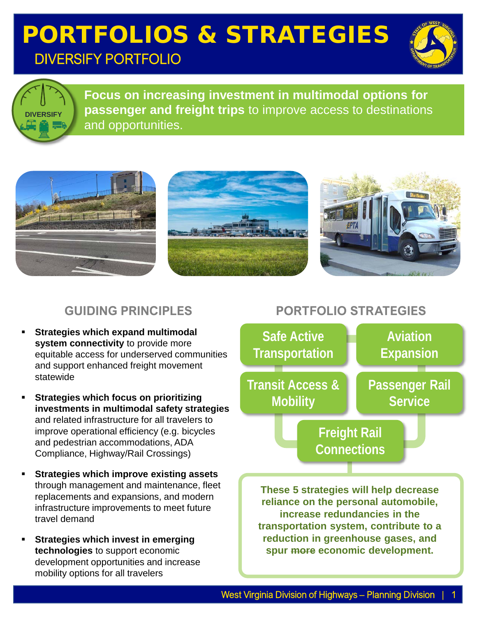## PORTFOLIOS & STRATEGIES DIVERSIFY PORTFOLIO





**Focus on increasing investment in multimodal options for passenger and freight trips** to improve access to destinations and opportunities.



#### **GUIDING PRINCIPLES**

- **Strategies which expand multimodal system connectivity** to provide more equitable access for underserved communities and support enhanced freight movement statewide
- **Strategies which focus on prioritizing investments in multimodal safety strategies** and related infrastructure for all travelers to improve operational efficiency (e.g. bicycles and pedestrian accommodations, ADA Compliance, Highway/Rail Crossings)
- **Strategies which improve existing assets**  through management and maintenance, fleet replacements and expansions, and modern infrastructure improvements to meet future travel demand
- **Strategies which invest in emerging technologies** to support economic development opportunities and increase mobility options for all travelers

#### **PORTFOLIO STRATEGIES**



**reliance on the personal automobile, increase redundancies in the transportation system, contribute to a reduction in greenhouse gases, and spur more economic development.**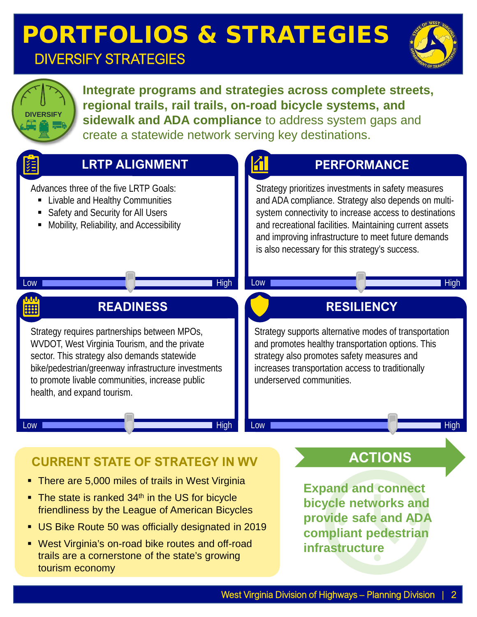# PORTFOLIOS & STRATEGIES

### DIVERSIFY STRATEGIES



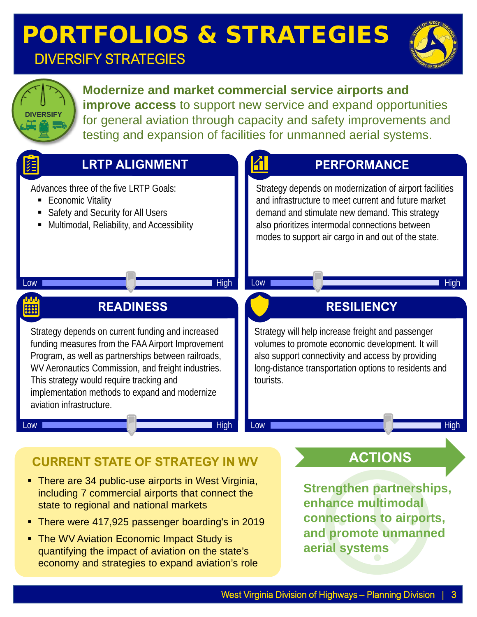### PORTFOLIOS & STRATEGIES DIVERSIFY STRATEGIES



**Modernize and market commercial service airports and improve access** to support new service and expand opportunities for general aviation through capacity and safety improvements and testing and expansion of facilities for unmanned aerial systems.



#### **CURRENT STATE OF STRATEGY IN WV**

- **There are 34 public-use airports in West Virginia,** including 7 commercial airports that connect the state to regional and national markets
- There were 417,925 passenger boarding's in 2019
- The WV Aviation Economic Impact Study is quantifying the impact of aviation on the state's economy and strategies to expand aviation's role

**Strengthen partnerships, enhance multimodal connections to airports,** 

**and promote unmanned** 

**aerial systems**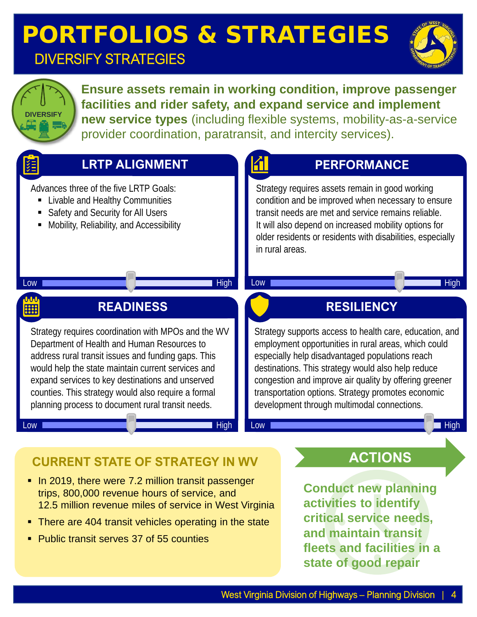# PORTFOLIOS & STRATEGIES

### DIVERSIFY STRATEGIES





**Ensure assets remain in working condition, improve passenger facilities and rider safety, and expand service and implement new service types** (including flexible systems, mobility-as-a-service provider coordination, paratransit, and intercity services).



- **CURRENT STATE OF STRATEGY IN WV**
- In 2019, there were 7.2 million transit passenger trips, 800,000 revenue hours of service, and 12.5 million revenue miles of service in West Virginia
- There are 404 transit vehicles operating in the state
- Public transit serves 37 of 55 counties

**ACTIONS**

**Conduct new planning activities to identify critical service needs, and maintain transit fleets and facilities in a state of good repair**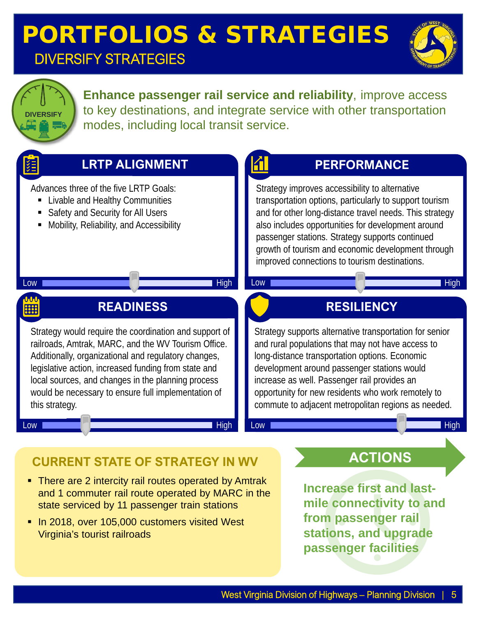### PORTFOLIOS & STRATEGIES DIVERSIFY STRATEGIES





**Enhance passenger rail service and reliability**, improve access to key destinations, and integrate service with other transportation modes, including local transit service.



**passenger facilities**